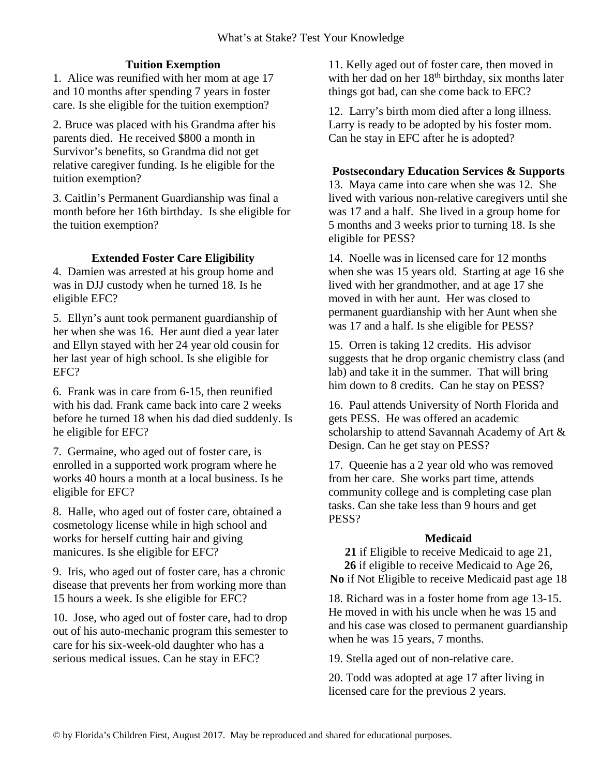## **Tuition Exemption**

1. Alice was reunified with her mom at age 17 and 10 months after spending 7 years in foster care. Is she eligible for the tuition exemption?

2. Bruce was placed with his Grandma after his parents died. He received \$800 a month in Survivor's benefits, so Grandma did not get relative caregiver funding. Is he eligible for the tuition exemption?

3. Caitlin's Permanent Guardianship was final a month before her 16th birthday. Is she eligible for the tuition exemption?

### **Extended Foster Care Eligibility**

4. Damien was arrested at his group home and was in DJJ custody when he turned 18. Is he eligible EFC?

5. Ellyn's aunt took permanent guardianship of her when she was 16. Her aunt died a year later and Ellyn stayed with her 24 year old cousin for her last year of high school. Is she eligible for EFC?

6. Frank was in care from 6-15, then reunified with his dad. Frank came back into care 2 weeks before he turned 18 when his dad died suddenly. Is he eligible for EFC?

7. Germaine, who aged out of foster care, is enrolled in a supported work program where he works 40 hours a month at a local business. Is he eligible for EFC?

8. Halle, who aged out of foster care, obtained a cosmetology license while in high school and works for herself cutting hair and giving manicures. Is she eligible for EFC?

9. Iris, who aged out of foster care, has a chronic disease that prevents her from working more than 15 hours a week. Is she eligible for EFC?

10. Jose, who aged out of foster care, had to drop out of his auto-mechanic program this semester to care for his six-week-old daughter who has a serious medical issues. Can he stay in EFC?

11. Kelly aged out of foster care, then moved in with her dad on her  $18<sup>th</sup>$  birthday, six months later things got bad, can she come back to EFC?

12. Larry's birth mom died after a long illness. Larry is ready to be adopted by his foster mom. Can he stay in EFC after he is adopted?

#### **Postsecondary Education Services & Supports**

13. Maya came into care when she was 12. She lived with various non-relative caregivers until she was 17 and a half. She lived in a group home for 5 months and 3 weeks prior to turning 18. Is she eligible for PESS?

14. Noelle was in licensed care for 12 months when she was 15 years old. Starting at age 16 she lived with her grandmother, and at age 17 she moved in with her aunt. Her was closed to permanent guardianship with her Aunt when she was 17 and a half. Is she eligible for PESS?

15. Orren is taking 12 credits. His advisor suggests that he drop organic chemistry class (and lab) and take it in the summer. That will bring him down to 8 credits. Can he stay on PESS?

16. Paul attends University of North Florida and gets PESS. He was offered an academic scholarship to attend Savannah Academy of Art & Design. Can he get stay on PESS?

17. Queenie has a 2 year old who was removed from her care. She works part time, attends community college and is completing case plan tasks. Can she take less than 9 hours and get PESS?

#### **Medicaid**

**21** if Eligible to receive Medicaid to age 21, **26** if eligible to receive Medicaid to Age 26,

**No** if Not Eligible to receive Medicaid past age 18

18. Richard was in a foster home from age 13-15. He moved in with his uncle when he was 15 and and his case was closed to permanent guardianship when he was 15 years, 7 months.

19. Stella aged out of non-relative care.

20. Todd was adopted at age 17 after living in licensed care for the previous 2 years.